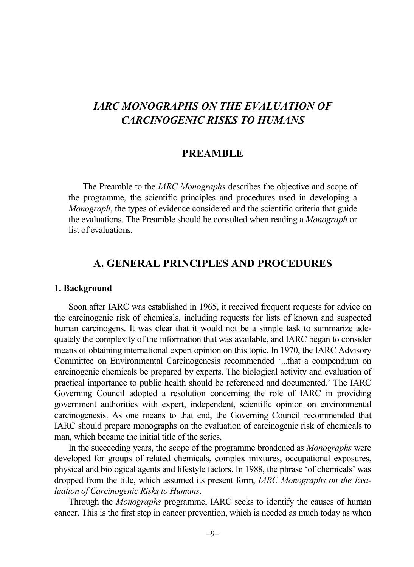# *IARC MONOGRAPHS ON THE EVALUATION OF CARCINOGENIC RISKS TO HUMANS*

# **PREAMBLE**

The Preamble to the *IARC Monographs* describes the objective and scope of the programme, the scientific principles and procedures used in developing a *Monograph*, the types of evidence considered and the scientific criteria that guide the evaluations. The Preamble should be consulted when reading a *Monograph* or list of evaluations.

# **A. GENERAL PRINCIPLES AND PROCEDURES**

### **1. Background**

Soon after IARC was established in 1965, it received frequent requests for advice on the carcinogenic risk of chemicals, including requests for lists of known and suspected human carcinogens. It was clear that it would not be a simple task to summarize adequately the complexity of the information that was available, and IARC began to consider means of obtaining international expert opinion on this topic. In 1970, the IARC Advisory Committee on Environmental Carcinogenesis recommended '...that a compendium on carcinogenic chemicals be prepared by experts. The biological activity and evaluation of practical importance to public health should be referenced and documented.' The IARC Governing Council adopted a resolution concerning the role of IARC in providing government authorities with expert, independent, scientific opinion on environmental carcinogenesis. As one means to that end, the Governing Council recommended that IARC should prepare monographs on the evaluation of carcinogenic risk of chemicals to man, which became the initial title of the series.

In the succeeding years, the scope of the programme broadened as *Monographs* were developed for groups of related chemicals, complex mixtures, occupational exposures, physical and biological agents and lifestyle factors. In 1988, the phrase 'of chemicals' was dropped from the title, which assumed its present form, *IARC Monographs on the Evaluation of Carcinogenic Risks to Humans*.

Through the *Monographs* programme, IARC seeks to identify the causes of human cancer. This is the first step in cancer prevention, which is needed as much today as when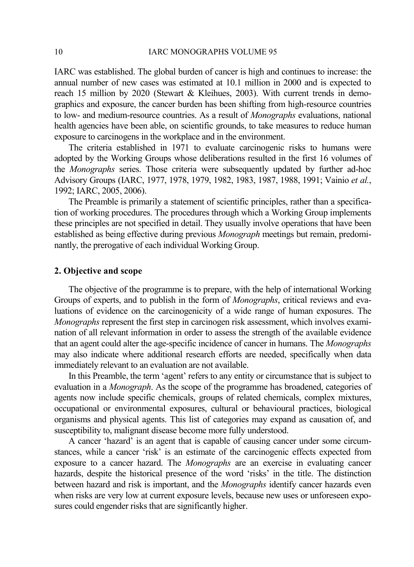IARC was established. The global burden of cancer is high and continues to increase: the annual number of new cases was estimated at 10.1 million in 2000 and is expected to reach 15 million by 2020 (Stewart & Kleihues, 2003). With current trends in demographics and exposure, the cancer burden has been shifting from high-resource countries to low- and medium-resource countries. As a result of *Monographs* evaluations, national health agencies have been able, on scientific grounds, to take measures to reduce human exposure to carcinogens in the workplace and in the environment.

The criteria established in 1971 to evaluate carcinogenic risks to humans were adopted by the Working Groups whose deliberations resulted in the first 16 volumes of the *Monographs* series. Those criteria were subsequently updated by further ad-hoc Advisory Groups (IARC, 1977, 1978, 1979, 1982, 1983, 1987, 1988, 1991; Vainio *et al.*, 1992; IARC, 2005, 2006).

The Preamble is primarily a statement of scientific principles, rather than a specification of working procedures. The procedures through which a Working Group implements these principles are not specified in detail. They usually involve operations that have been established as being effective during previous *Monograph* meetings but remain, predominantly, the prerogative of each individual Working Group.

# **2. Objective and scope**

The objective of the programme is to prepare, with the help of international Working Groups of experts, and to publish in the form of *Monographs*, critical reviews and evaluations of evidence on the carcinogenicity of a wide range of human exposures. The *Monographs* represent the first step in carcinogen risk assessment, which involves examination of all relevant information in order to assess the strength of the available evidence that an agent could alter the age-specific incidence of cancer in humans. The *Monographs* may also indicate where additional research efforts are needed, specifically when data immediately relevant to an evaluation are not available.

In this Preamble, the term 'agent' refers to any entity or circumstance that is subject to evaluation in a *Monograph*. As the scope of the programme has broadened, categories of agents now include specific chemicals, groups of related chemicals, complex mixtures, occupational or environmental exposures, cultural or behavioural practices, biological organisms and physical agents. This list of categories may expand as causation of, and susceptibility to, malignant disease become more fully understood.

A cancer 'hazard' is an agent that is capable of causing cancer under some circumstances, while a cancer 'risk' is an estimate of the carcinogenic effects expected from exposure to a cancer hazard. The *Monographs* are an exercise in evaluating cancer hazards, despite the historical presence of the word 'risks' in the title. The distinction between hazard and risk is important, and the *Monographs* identify cancer hazards even when risks are very low at current exposure levels, because new uses or unforeseen exposures could engender risks that are significantly higher.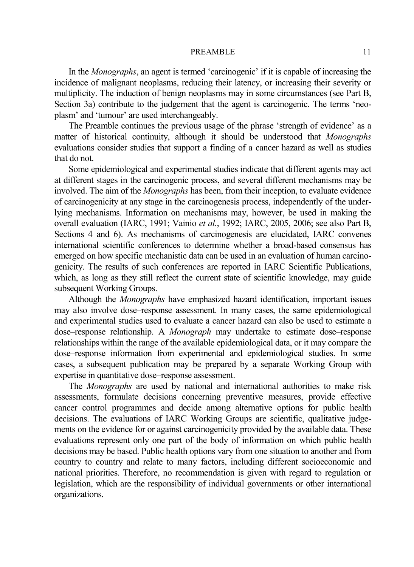In the *Monographs*, an agent is termed 'carcinogenic' if it is capable of increasing the incidence of malignant neoplasms, reducing their latency, or increasing their severity or multiplicity. The induction of benign neoplasms may in some circumstances (see Part B, Section 3a) contribute to the judgement that the agent is carcinogenic. The terms 'neoplasm' and 'tumour' are used interchangeably.

The Preamble continues the previous usage of the phrase 'strength of evidence' as a matter of historical continuity, although it should be understood that *Monographs* evaluations consider studies that support a finding of a cancer hazard as well as studies that do not.

Some epidemiological and experimental studies indicate that different agents may act at different stages in the carcinogenic process, and several different mechanisms may be involved. The aim of the *Monographs* has been, from their inception, to evaluate evidence of carcinogenicity at any stage in the carcinogenesis process, independently of the underlying mechanisms. Information on mechanisms may, however, be used in making the overall evaluation (IARC, 1991; Vainio *et al.*, 1992; IARC, 2005, 2006; see also Part B, Sections 4 and 6). As mechanisms of carcinogenesis are elucidated, IARC convenes international scientific conferences to determine whether a broad-based consensus has emerged on how specific mechanistic data can be used in an evaluation of human carcinogenicity. The results of such conferences are reported in IARC Scientific Publications, which, as long as they still reflect the current state of scientific knowledge, may guide subsequent Working Groups.

Although the *Monographs* have emphasized hazard identification, important issues may also involve dose–response assessment. In many cases, the same epidemiological and experimental studies used to evaluate a cancer hazard can also be used to estimate a dose–response relationship. A *Monograph* may undertake to estimate dose–response relationships within the range of the available epidemiological data, or it may compare the dose–response information from experimental and epidemiological studies. In some cases, a subsequent publication may be prepared by a separate Working Group with expertise in quantitative dose–response assessment.

The *Monographs* are used by national and international authorities to make risk assessments, formulate decisions concerning preventive measures, provide effective cancer control programmes and decide among alternative options for public health decisions. The evaluations of IARC Working Groups are scientific, qualitative judgements on the evidence for or against carcinogenicity provided by the available data. These evaluations represent only one part of the body of information on which public health decisions may be based. Public health options vary from one situation to another and from country to country and relate to many factors, including different socioeconomic and national priorities. Therefore, no recommendation is given with regard to regulation or legislation, which are the responsibility of individual governments or other international organizations.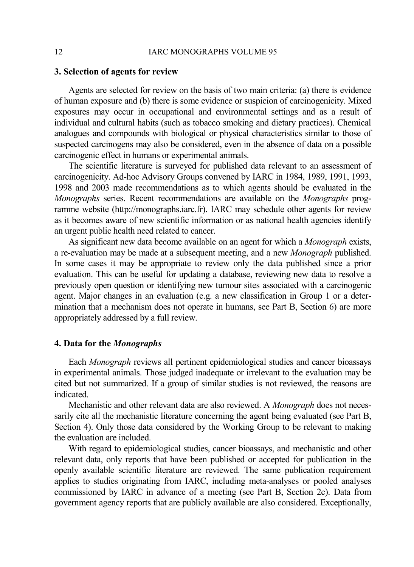#### **3. Selection of agents for review**

Agents are selected for review on the basis of two main criteria: (a) there is evidence of human exposure and (b) there is some evidence or suspicion of carcinogenicity. Mixed exposures may occur in occupational and environmental settings and as a result of individual and cultural habits (such as tobacco smoking and dietary practices). Chemical analogues and compounds with biological or physical characteristics similar to those of suspected carcinogens may also be considered, even in the absence of data on a possible carcinogenic effect in humans or experimental animals.

The scientific literature is surveyed for published data relevant to an assessment of carcinogenicity. Ad-hoc Advisory Groups convened by IARC in 1984, 1989, 1991, 1993, 1998 and 2003 made recommendations as to which agents should be evaluated in the *Monographs* series. Recent recommendations are available on the *Monographs* programme website (http://monographs.iarc.fr). IARC may schedule other agents for review as it becomes aware of new scientific information or as national health agencies identify an urgent public health need related to cancer.

As significant new data become available on an agent for which a *Monograph* exists, a re-evaluation may be made at a subsequent meeting, and a new *Monograph* published. In some cases it may be appropriate to review only the data published since a prior evaluation. This can be useful for updating a database, reviewing new data to resolve a previously open question or identifying new tumour sites associated with a carcinogenic agent. Major changes in an evaluation (e.g. a new classification in Group 1 or a determination that a mechanism does not operate in humans, see Part B, Section 6) are more appropriately addressed by a full review.

### **4. Data for the** *Monographs*

Each *Monograph* reviews all pertinent epidemiological studies and cancer bioassays in experimental animals. Those judged inadequate or irrelevant to the evaluation may be cited but not summarized. If a group of similar studies is not reviewed, the reasons are indicated.

Mechanistic and other relevant data are also reviewed. A *Monograph* does not necessarily cite all the mechanistic literature concerning the agent being evaluated (see Part B, Section 4). Only those data considered by the Working Group to be relevant to making the evaluation are included.

With regard to epidemiological studies, cancer bioassays, and mechanistic and other relevant data, only reports that have been published or accepted for publication in the openly available scientific literature are reviewed. The same publication requirement applies to studies originating from IARC, including meta-analyses or pooled analyses commissioned by IARC in advance of a meeting (see Part B, Section 2c). Data from government agency reports that are publicly available are also considered. Exceptionally,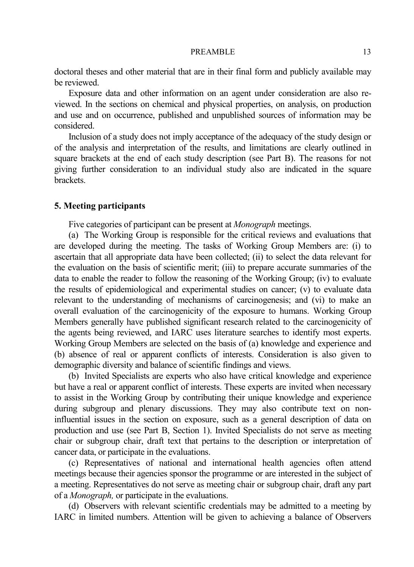doctoral theses and other material that are in their final form and publicly available may be reviewed.

Exposure data and other information on an agent under consideration are also reviewed. In the sections on chemical and physical properties, on analysis, on production and use and on occurrence, published and unpublished sources of information may be considered.

Inclusion of a study does not imply acceptance of the adequacy of the study design or of the analysis and interpretation of the results, and limitations are clearly outlined in square brackets at the end of each study description (see Part B). The reasons for not giving further consideration to an individual study also are indicated in the square brackets.

### **5. Meeting participants**

Five categories of participant can be present at *Monograph* meetings.

(a) The Working Group is responsible for the critical reviews and evaluations that are developed during the meeting. The tasks of Working Group Members are: (i) to ascertain that all appropriate data have been collected; (ii) to select the data relevant for the evaluation on the basis of scientific merit; (iii) to prepare accurate summaries of the data to enable the reader to follow the reasoning of the Working Group; (iv) to evaluate the results of epidemiological and experimental studies on cancer; (v) to evaluate data relevant to the understanding of mechanisms of carcinogenesis; and (vi) to make an overall evaluation of the carcinogenicity of the exposure to humans. Working Group Members generally have published significant research related to the carcinogenicity of the agents being reviewed, and IARC uses literature searches to identify most experts. Working Group Members are selected on the basis of (a) knowledge and experience and (b) absence of real or apparent conflicts of interests. Consideration is also given to demographic diversity and balance of scientific findings and views.

(b) Invited Specialists are experts who also have critical knowledge and experience but have a real or apparent conflict of interests. These experts are invited when necessary to assist in the Working Group by contributing their unique knowledge and experience during subgroup and plenary discussions. They may also contribute text on noninfluential issues in the section on exposure, such as a general description of data on production and use (see Part B, Section 1). Invited Specialists do not serve as meeting chair or subgroup chair, draft text that pertains to the description or interpretation of cancer data, or participate in the evaluations.

(c) Representatives of national and international health agencies often attend meetings because their agencies sponsor the programme or are interested in the subject of a meeting. Representatives do not serve as meeting chair or subgroup chair, draft any part of a *Monograph,* or participate in the evaluations.

(d) Observers with relevant scientific credentials may be admitted to a meeting by IARC in limited numbers. Attention will be given to achieving a balance of Observers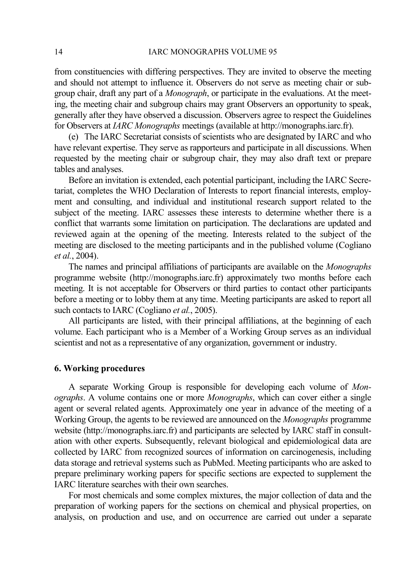from constituencies with differing perspectives. They are invited to observe the meeting and should not attempt to influence it. Observers do not serve as meeting chair or subgroup chair, draft any part of a *Monograph*, or participate in the evaluations. At the meeting, the meeting chair and subgroup chairs may grant Observers an opportunity to speak, generally after they have observed a discussion. Observers agree to respect the Guidelines for Observers at *IARC Monographs* meetings (available at http://monographs.iarc.fr).

(e) The IARC Secretariat consists of scientists who are designated by IARC and who have relevant expertise. They serve as rapporteurs and participate in all discussions. When requested by the meeting chair or subgroup chair, they may also draft text or prepare tables and analyses.

Before an invitation is extended, each potential participant, including the IARC Secretariat, completes the WHO Declaration of Interests to report financial interests, employment and consulting, and individual and institutional research support related to the subject of the meeting. IARC assesses these interests to determine whether there is a conflict that warrants some limitation on participation. The declarations are updated and reviewed again at the opening of the meeting. Interests related to the subject of the meeting are disclosed to the meeting participants and in the published volume (Cogliano *et al.*, 2004).

The names and principal affiliations of participants are available on the *Monographs* programme website (http://monographs.iarc.fr) approximately two months before each meeting. It is not acceptable for Observers or third parties to contact other participants before a meeting or to lobby them at any time. Meeting participants are asked to report all such contacts to IARC (Cogliano *et al.*, 2005).

All participants are listed, with their principal affiliations, at the beginning of each volume. Each participant who is a Member of a Working Group serves as an individual scientist and not as a representative of any organization, government or industry.

## **6. Working procedures**

A separate Working Group is responsible for developing each volume of *Monographs*. A volume contains one or more *Monographs*, which can cover either a single agent or several related agents. Approximately one year in advance of the meeting of a Working Group, the agents to be reviewed are announced on the *Monographs* programme website (http://monographs.iarc.fr) and participants are selected by IARC staff in consultation with other experts. Subsequently, relevant biological and epidemiological data are collected by IARC from recognized sources of information on carcinogenesis, including data storage and retrieval systems such as PubMed. Meeting participants who are asked to prepare preliminary working papers for specific sections are expected to supplement the IARC literature searches with their own searches.

For most chemicals and some complex mixtures, the major collection of data and the preparation of working papers for the sections on chemical and physical properties, on analysis, on production and use, and on occurrence are carried out under a separate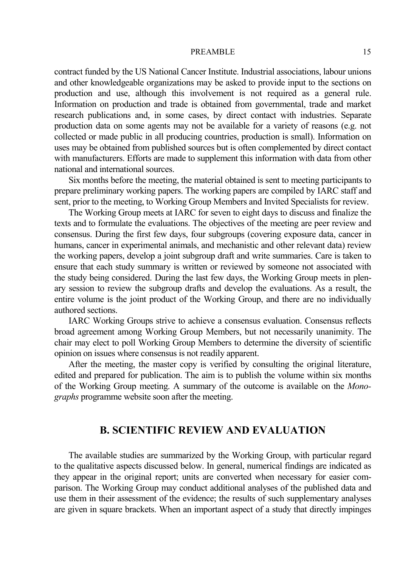contract funded by the US National Cancer Institute. Industrial associations, labour unions and other knowledgeable organizations may be asked to provide input to the sections on production and use, although this involvement is not required as a general rule. Information on production and trade is obtained from governmental, trade and market research publications and, in some cases, by direct contact with industries. Separate production data on some agents may not be available for a variety of reasons (e.g. not collected or made public in all producing countries, production is small). Information on uses may be obtained from published sources but is often complemented by direct contact with manufacturers. Efforts are made to supplement this information with data from other national and international sources.

Six months before the meeting, the material obtained is sent to meeting participants to prepare preliminary working papers. The working papers are compiled by IARC staff and sent, prior to the meeting, to Working Group Members and Invited Specialists for review.

The Working Group meets at IARC for seven to eight days to discuss and finalize the texts and to formulate the evaluations. The objectives of the meeting are peer review and consensus. During the first few days, four subgroups (covering exposure data, cancer in humans, cancer in experimental animals, and mechanistic and other relevant data) review the working papers, develop a joint subgroup draft and write summaries. Care is taken to ensure that each study summary is written or reviewed by someone not associated with the study being considered. During the last few days, the Working Group meets in plenary session to review the subgroup drafts and develop the evaluations. As a result, the entire volume is the joint product of the Working Group, and there are no individually authored sections.

IARC Working Groups strive to achieve a consensus evaluation. Consensus reflects broad agreement among Working Group Members, but not necessarily unanimity. The chair may elect to poll Working Group Members to determine the diversity of scientific opinion on issues where consensus is not readily apparent.

After the meeting, the master copy is verified by consulting the original literature, edited and prepared for publication. The aim is to publish the volume within six months of the Working Group meeting. A summary of the outcome is available on the *Monographs* programme website soon after the meeting.

# **B. SCIENTIFIC REVIEW AND EVALUATION**

The available studies are summarized by the Working Group, with particular regard to the qualitative aspects discussed below. In general, numerical findings are indicated as they appear in the original report; units are converted when necessary for easier comparison. The Working Group may conduct additional analyses of the published data and use them in their assessment of the evidence; the results of such supplementary analyses are given in square brackets. When an important aspect of a study that directly impinges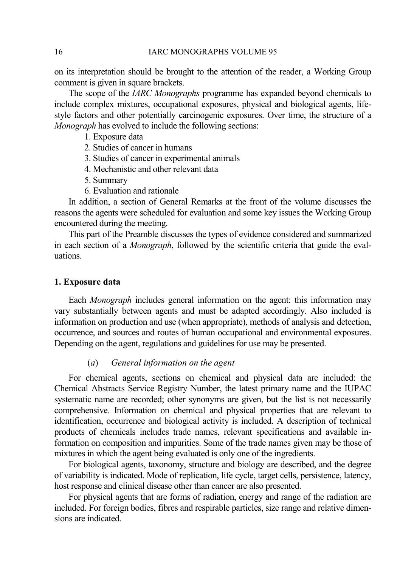on its interpretation should be brought to the attention of the reader, a Working Group comment is given in square brackets.

The scope of the *IARC Monographs* programme has expanded beyond chemicals to include complex mixtures, occupational exposures, physical and biological agents, lifestyle factors and other potentially carcinogenic exposures. Over time, the structure of a *Monograph* has evolved to include the following sections:

- 1. Exposure data
- 2. Studies of cancer in humans
- 3. Studies of cancer in experimental animals
- 4. Mechanistic and other relevant data
- 5. Summary
- 6. Evaluation and rationale

In addition, a section of General Remarks at the front of the volume discusses the reasons the agents were scheduled for evaluation and some key issues the Working Group encountered during the meeting.

This part of the Preamble discusses the types of evidence considered and summarized in each section of a *Monograph*, followed by the scientific criteria that guide the evaluations.

## **1. Exposure data**

Each *Monograph* includes general information on the agent: this information may vary substantially between agents and must be adapted accordingly. Also included is information on production and use (when appropriate), methods of analysis and detection, occurrence, and sources and routes of human occupational and environmental exposures. Depending on the agent, regulations and guidelines for use may be presented.

## (*a*) *General information on the agent*

For chemical agents, sections on chemical and physical data are included: the Chemical Abstracts Service Registry Number, the latest primary name and the IUPAC systematic name are recorded; other synonyms are given, but the list is not necessarily comprehensive. Information on chemical and physical properties that are relevant to identification, occurrence and biological activity is included. A description of technical products of chemicals includes trade names, relevant specifications and available information on composition and impurities. Some of the trade names given may be those of mixtures in which the agent being evaluated is only one of the ingredients.

For biological agents, taxonomy, structure and biology are described, and the degree of variability is indicated. Mode of replication, life cycle, target cells, persistence, latency, host response and clinical disease other than cancer are also presented.

For physical agents that are forms of radiation, energy and range of the radiation are included. For foreign bodies, fibres and respirable particles, size range and relative dimensions are indicated.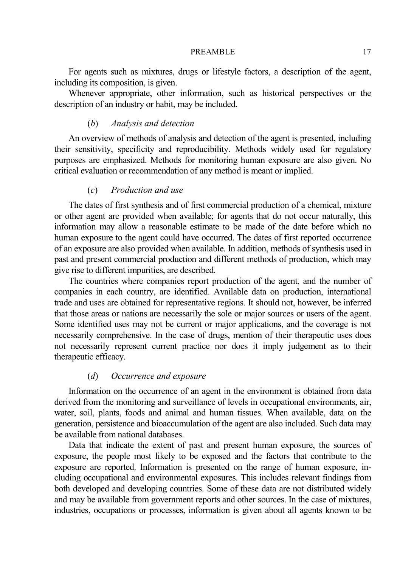For agents such as mixtures, drugs or lifestyle factors, a description of the agent, including its composition, is given.

Whenever appropriate, other information, such as historical perspectives or the description of an industry or habit, may be included.

### (*b*) *Analysis and detection*

An overview of methods of analysis and detection of the agent is presented, including their sensitivity, specificity and reproducibility. Methods widely used for regulatory purposes are emphasized. Methods for monitoring human exposure are also given. No critical evaluation or recommendation of any method is meant or implied.

## (*c*) *Production and use*

The dates of first synthesis and of first commercial production of a chemical, mixture or other agent are provided when available; for agents that do not occur naturally, this information may allow a reasonable estimate to be made of the date before which no human exposure to the agent could have occurred. The dates of first reported occurrence of an exposure are also provided when available. In addition, methods of synthesis used in past and present commercial production and different methods of production, which may give rise to different impurities, are described.

The countries where companies report production of the agent, and the number of companies in each country, are identified. Available data on production, international trade and uses are obtained for representative regions. It should not, however, be inferred that those areas or nations are necessarily the sole or major sources or users of the agent. Some identified uses may not be current or major applications, and the coverage is not necessarily comprehensive. In the case of drugs, mention of their therapeutic uses does not necessarily represent current practice nor does it imply judgement as to their therapeutic efficacy.

## (*d*) *Occurrence and exposure*

Information on the occurrence of an agent in the environment is obtained from data derived from the monitoring and surveillance of levels in occupational environments, air, water, soil, plants, foods and animal and human tissues. When available, data on the generation, persistence and bioaccumulation of the agent are also included. Such data may be available from national databases.

Data that indicate the extent of past and present human exposure, the sources of exposure, the people most likely to be exposed and the factors that contribute to the exposure are reported. Information is presented on the range of human exposure, including occupational and environmental exposures. This includes relevant findings from both developed and developing countries. Some of these data are not distributed widely and may be available from government reports and other sources. In the case of mixtures, industries, occupations or processes, information is given about all agents known to be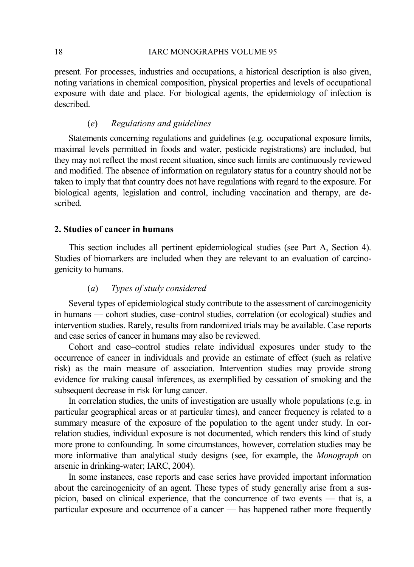present. For processes, industries and occupations, a historical description is also given, noting variations in chemical composition, physical properties and levels of occupational exposure with date and place. For biological agents, the epidemiology of infection is described.

## (*e*) *Regulations and guidelines*

Statements concerning regulations and guidelines (e.g. occupational exposure limits, maximal levels permitted in foods and water, pesticide registrations) are included, but they may not reflect the most recent situation, since such limits are continuously reviewed and modified. The absence of information on regulatory status for a country should not be taken to imply that that country does not have regulations with regard to the exposure. For biological agents, legislation and control, including vaccination and therapy, are described.

## **2. Studies of cancer in humans**

This section includes all pertinent epidemiological studies (see Part A, Section 4). Studies of biomarkers are included when they are relevant to an evaluation of carcinogenicity to humans.

## (*a*) *Types of study considered*

Several types of epidemiological study contribute to the assessment of carcinogenicity in humans — cohort studies, case–control studies, correlation (or ecological) studies and intervention studies. Rarely, results from randomized trials may be available. Case reports and case series of cancer in humans may also be reviewed.

Cohort and case–control studies relate individual exposures under study to the occurrence of cancer in individuals and provide an estimate of effect (such as relative risk) as the main measure of association. Intervention studies may provide strong evidence for making causal inferences, as exemplified by cessation of smoking and the subsequent decrease in risk for lung cancer.

In correlation studies, the units of investigation are usually whole populations (e.g. in particular geographical areas or at particular times), and cancer frequency is related to a summary measure of the exposure of the population to the agent under study. In correlation studies, individual exposure is not documented, which renders this kind of study more prone to confounding. In some circumstances, however, correlation studies may be more informative than analytical study designs (see, for example, the *Monograph* on arsenic in drinking-water; IARC, 2004).

In some instances, case reports and case series have provided important information about the carcinogenicity of an agent. These types of study generally arise from a suspicion, based on clinical experience, that the concurrence of two events — that is, a particular exposure and occurrence of a cancer — has happened rather more frequently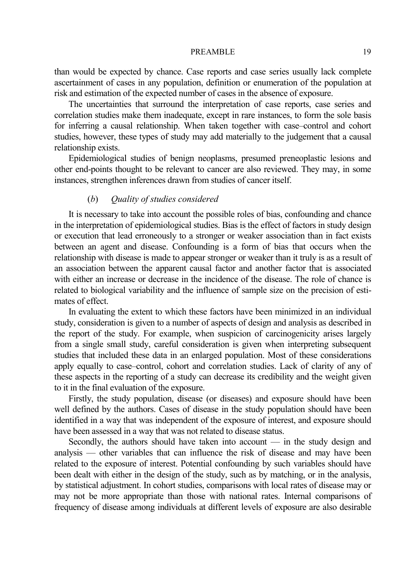than would be expected by chance. Case reports and case series usually lack complete ascertainment of cases in any population, definition or enumeration of the population at risk and estimation of the expected number of cases in the absence of exposure.

The uncertainties that surround the interpretation of case reports, case series and correlation studies make them inadequate, except in rare instances, to form the sole basis for inferring a causal relationship. When taken together with case–control and cohort studies, however, these types of study may add materially to the judgement that a causal relationship exists.

Epidemiological studies of benign neoplasms, presumed preneoplastic lesions and other end-points thought to be relevant to cancer are also reviewed. They may, in some instances, strengthen inferences drawn from studies of cancer itself.

# (*b*) *Quality of studies considered*

It is necessary to take into account the possible roles of bias, confounding and chance in the interpretation of epidemiological studies. Bias is the effect of factors in study design or execution that lead erroneously to a stronger or weaker association than in fact exists between an agent and disease. Confounding is a form of bias that occurs when the relationship with disease is made to appear stronger or weaker than it truly is as a result of an association between the apparent causal factor and another factor that is associated with either an increase or decrease in the incidence of the disease. The role of chance is related to biological variability and the influence of sample size on the precision of estimates of effect.

In evaluating the extent to which these factors have been minimized in an individual study, consideration is given to a number of aspects of design and analysis as described in the report of the study. For example, when suspicion of carcinogenicity arises largely from a single small study, careful consideration is given when interpreting subsequent studies that included these data in an enlarged population. Most of these considerations apply equally to case–control, cohort and correlation studies. Lack of clarity of any of these aspects in the reporting of a study can decrease its credibility and the weight given to it in the final evaluation of the exposure.

Firstly, the study population, disease (or diseases) and exposure should have been well defined by the authors. Cases of disease in the study population should have been identified in a way that was independent of the exposure of interest, and exposure should have been assessed in a way that was not related to disease status.

Secondly, the authors should have taken into account — in the study design and analysis — other variables that can influence the risk of disease and may have been related to the exposure of interest. Potential confounding by such variables should have been dealt with either in the design of the study, such as by matching, or in the analysis, by statistical adjustment. In cohort studies, comparisons with local rates of disease may or may not be more appropriate than those with national rates. Internal comparisons of frequency of disease among individuals at different levels of exposure are also desirable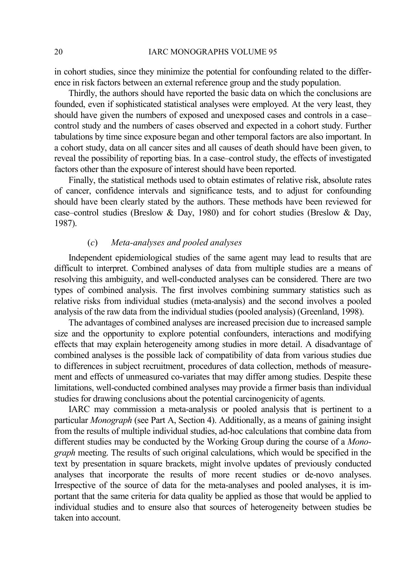in cohort studies, since they minimize the potential for confounding related to the difference in risk factors between an external reference group and the study population.

Thirdly, the authors should have reported the basic data on which the conclusions are founded, even if sophisticated statistical analyses were employed. At the very least, they should have given the numbers of exposed and unexposed cases and controls in a case– control study and the numbers of cases observed and expected in a cohort study. Further tabulations by time since exposure began and other temporal factors are also important. In a cohort study, data on all cancer sites and all causes of death should have been given, to reveal the possibility of reporting bias. In a case–control study, the effects of investigated factors other than the exposure of interest should have been reported.

Finally, the statistical methods used to obtain estimates of relative risk, absolute rates of cancer, confidence intervals and significance tests, and to adjust for confounding should have been clearly stated by the authors. These methods have been reviewed for case–control studies (Breslow & Day, 1980) and for cohort studies (Breslow & Day, 1987).

## (*c*) *Meta-analyses and pooled analyses*

Independent epidemiological studies of the same agent may lead to results that are difficult to interpret. Combined analyses of data from multiple studies are a means of resolving this ambiguity, and well-conducted analyses can be considered. There are two types of combined analysis. The first involves combining summary statistics such as relative risks from individual studies (meta-analysis) and the second involves a pooled analysis of the raw data from the individual studies (pooled analysis) (Greenland, 1998).

The advantages of combined analyses are increased precision due to increased sample size and the opportunity to explore potential confounders, interactions and modifying effects that may explain heterogeneity among studies in more detail. A disadvantage of combined analyses is the possible lack of compatibility of data from various studies due to differences in subject recruitment, procedures of data collection, methods of measurement and effects of unmeasured co-variates that may differ among studies. Despite these limitations, well-conducted combined analyses may provide a firmer basis than individual studies for drawing conclusions about the potential carcinogenicity of agents.

IARC may commission a meta-analysis or pooled analysis that is pertinent to a particular *Monograph* (see Part A, Section 4). Additionally, as a means of gaining insight from the results of multiple individual studies, ad-hoc calculations that combine data from different studies may be conducted by the Working Group during the course of a *Monograph* meeting. The results of such original calculations, which would be specified in the text by presentation in square brackets, might involve updates of previously conducted analyses that incorporate the results of more recent studies or de-novo analyses. Irrespective of the source of data for the meta-analyses and pooled analyses, it is important that the same criteria for data quality be applied as those that would be applied to individual studies and to ensure also that sources of heterogeneity between studies be taken into account.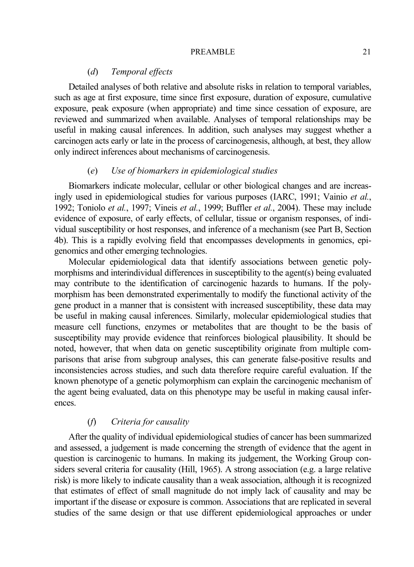#### (*d*) *Temporal effects*

Detailed analyses of both relative and absolute risks in relation to temporal variables, such as age at first exposure, time since first exposure, duration of exposure, cumulative exposure, peak exposure (when appropriate) and time since cessation of exposure, are reviewed and summarized when available. Analyses of temporal relationships may be useful in making causal inferences. In addition, such analyses may suggest whether a carcinogen acts early or late in the process of carcinogenesis, although, at best, they allow only indirect inferences about mechanisms of carcinogenesis.

### (*e*) *Use of biomarkers in epidemiological studies*

Biomarkers indicate molecular, cellular or other biological changes and are increasingly used in epidemiological studies for various purposes (IARC, 1991; Vainio *et al.*, 1992; Toniolo *et al.*, 1997; Vineis *et al.*, 1999; Buffler *et al.*, 2004). These may include evidence of exposure, of early effects, of cellular, tissue or organism responses, of individual susceptibility or host responses, and inference of a mechanism (see Part B, Section 4b). This is a rapidly evolving field that encompasses developments in genomics, epigenomics and other emerging technologies.

Molecular epidemiological data that identify associations between genetic polymorphisms and interindividual differences in susceptibility to the agent(s) being evaluated may contribute to the identification of carcinogenic hazards to humans. If the polymorphism has been demonstrated experimentally to modify the functional activity of the gene product in a manner that is consistent with increased susceptibility, these data may be useful in making causal inferences. Similarly, molecular epidemiological studies that measure cell functions, enzymes or metabolites that are thought to be the basis of susceptibility may provide evidence that reinforces biological plausibility. It should be noted, however, that when data on genetic susceptibility originate from multiple comparisons that arise from subgroup analyses, this can generate false-positive results and inconsistencies across studies, and such data therefore require careful evaluation. If the known phenotype of a genetic polymorphism can explain the carcinogenic mechanism of the agent being evaluated, data on this phenotype may be useful in making causal inferences.

## (*f*) *Criteria for causality*

After the quality of individual epidemiological studies of cancer has been summarized and assessed, a judgement is made concerning the strength of evidence that the agent in question is carcinogenic to humans. In making its judgement, the Working Group considers several criteria for causality (Hill, 1965). A strong association (e.g. a large relative risk) is more likely to indicate causality than a weak association, although it is recognized that estimates of effect of small magnitude do not imply lack of causality and may be important if the disease or exposure is common. Associations that are replicated in several studies of the same design or that use different epidemiological approaches or under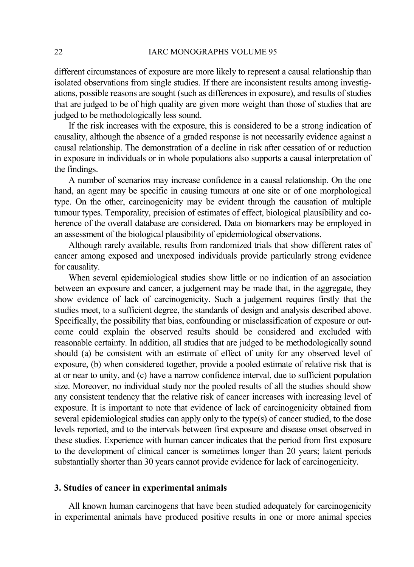different circumstances of exposure are more likely to represent a causal relationship than isolated observations from single studies. If there are inconsistent results among investigations, possible reasons are sought (such as differences in exposure), and results of studies that are judged to be of high quality are given more weight than those of studies that are judged to be methodologically less sound.

If the risk increases with the exposure, this is considered to be a strong indication of causality, although the absence of a graded response is not necessarily evidence against a causal relationship. The demonstration of a decline in risk after cessation of or reduction in exposure in individuals or in whole populations also supports a causal interpretation of the findings.

A number of scenarios may increase confidence in a causal relationship. On the one hand, an agent may be specific in causing tumours at one site or of one morphological type. On the other, carcinogenicity may be evident through the causation of multiple tumour types. Temporality, precision of estimates of effect, biological plausibility and coherence of the overall database are considered. Data on biomarkers may be employed in an assessment of the biological plausibility of epidemiological observations.

Although rarely available, results from randomized trials that show different rates of cancer among exposed and unexposed individuals provide particularly strong evidence for causality.

When several epidemiological studies show little or no indication of an association between an exposure and cancer, a judgement may be made that, in the aggregate, they show evidence of lack of carcinogenicity. Such a judgement requires firstly that the studies meet, to a sufficient degree, the standards of design and analysis described above. Specifically, the possibility that bias, confounding or misclassification of exposure or outcome could explain the observed results should be considered and excluded with reasonable certainty. In addition, all studies that are judged to be methodologically sound should (a) be consistent with an estimate of effect of unity for any observed level of exposure, (b) when considered together, provide a pooled estimate of relative risk that is at or near to unity, and (c) have a narrow confidence interval, due to sufficient population size. Moreover, no individual study nor the pooled results of all the studies should show any consistent tendency that the relative risk of cancer increases with increasing level of exposure. It is important to note that evidence of lack of carcinogenicity obtained from several epidemiological studies can apply only to the type(s) of cancer studied, to the dose levels reported, and to the intervals between first exposure and disease onset observed in these studies. Experience with human cancer indicates that the period from first exposure to the development of clinical cancer is sometimes longer than 20 years; latent periods substantially shorter than 30 years cannot provide evidence for lack of carcinogenicity.

## **3. Studies of cancer in experimental animals**

All known human carcinogens that have been studied adequately for carcinogenicity in experimental animals have produced positive results in one or more animal species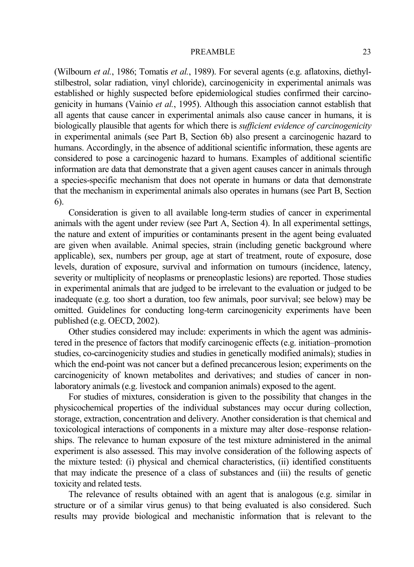(Wilbourn *et al.*, 1986; Tomatis *et al.*, 1989). For several agents (e.g. aflatoxins, diethylstilbestrol, solar radiation, vinyl chloride), carcinogenicity in experimental animals was established or highly suspected before epidemiological studies confirmed their carcinogenicity in humans (Vainio *et al.*, 1995). Although this association cannot establish that all agents that cause cancer in experimental animals also cause cancer in humans, it is biologically plausible that agents for which there is *sufficient evidence of carcinogenicity* in experimental animals (see Part B, Section 6b) also present a carcinogenic hazard to humans. Accordingly, in the absence of additional scientific information, these agents are considered to pose a carcinogenic hazard to humans. Examples of additional scientific information are data that demonstrate that a given agent causes cancer in animals through a species-specific mechanism that does not operate in humans or data that demonstrate that the mechanism in experimental animals also operates in humans (see Part B, Section 6).

Consideration is given to all available long-term studies of cancer in experimental animals with the agent under review (see Part A, Section 4). In all experimental settings, the nature and extent of impurities or contaminants present in the agent being evaluated are given when available. Animal species, strain (including genetic background where applicable), sex, numbers per group, age at start of treatment, route of exposure, dose levels, duration of exposure, survival and information on tumours (incidence, latency, severity or multiplicity of neoplasms or preneoplastic lesions) are reported. Those studies in experimental animals that are judged to be irrelevant to the evaluation or judged to be inadequate (e.g. too short a duration, too few animals, poor survival; see below) may be omitted. Guidelines for conducting long-term carcinogenicity experiments have been published (e.g. OECD, 2002).

Other studies considered may include: experiments in which the agent was administered in the presence of factors that modify carcinogenic effects (e.g. initiation–promotion studies, co-carcinogenicity studies and studies in genetically modified animals); studies in which the end-point was not cancer but a defined precancerous lesion; experiments on the carcinogenicity of known metabolites and derivatives; and studies of cancer in nonlaboratory animals (e.g. livestock and companion animals) exposed to the agent.

For studies of mixtures, consideration is given to the possibility that changes in the physicochemical properties of the individual substances may occur during collection, storage, extraction, concentration and delivery. Another consideration is that chemical and toxicological interactions of components in a mixture may alter dose–response relationships. The relevance to human exposure of the test mixture administered in the animal experiment is also assessed. This may involve consideration of the following aspects of the mixture tested: (i) physical and chemical characteristics, (ii) identified constituents that may indicate the presence of a class of substances and (iii) the results of genetic toxicity and related tests.

The relevance of results obtained with an agent that is analogous (e.g. similar in structure or of a similar virus genus) to that being evaluated is also considered. Such results may provide biological and mechanistic information that is relevant to the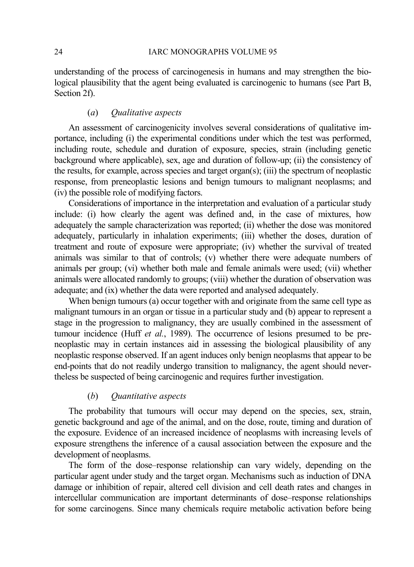understanding of the process of carcinogenesis in humans and may strengthen the biological plausibility that the agent being evaluated is carcinogenic to humans (see Part B, Section 2f).

## (*a*) *Qualitative aspects*

An assessment of carcinogenicity involves several considerations of qualitative importance, including (i) the experimental conditions under which the test was performed, including route, schedule and duration of exposure, species, strain (including genetic background where applicable), sex, age and duration of follow-up; (ii) the consistency of the results, for example, across species and target organ(s); (iii) the spectrum of neoplastic response, from preneoplastic lesions and benign tumours to malignant neoplasms; and (iv) the possible role of modifying factors.

Considerations of importance in the interpretation and evaluation of a particular study include: (i) how clearly the agent was defined and, in the case of mixtures, how adequately the sample characterization was reported; (ii) whether the dose was monitored adequately, particularly in inhalation experiments; (iii) whether the doses, duration of treatment and route of exposure were appropriate; (iv) whether the survival of treated animals was similar to that of controls; (v) whether there were adequate numbers of animals per group; (vi) whether both male and female animals were used; (vii) whether animals were allocated randomly to groups; (viii) whether the duration of observation was adequate; and (ix) whether the data were reported and analysed adequately.

When benign tumours (a) occur together with and originate from the same cell type as malignant tumours in an organ or tissue in a particular study and (b) appear to represent a stage in the progression to malignancy, they are usually combined in the assessment of tumour incidence (Huff *et al.*, 1989). The occurrence of lesions presumed to be preneoplastic may in certain instances aid in assessing the biological plausibility of any neoplastic response observed. If an agent induces only benign neoplasms that appear to be end-points that do not readily undergo transition to malignancy, the agent should nevertheless be suspected of being carcinogenic and requires further investigation.

### (*b*) *Quantitative aspects*

The probability that tumours will occur may depend on the species, sex, strain, genetic background and age of the animal, and on the dose, route, timing and duration of the exposure. Evidence of an increased incidence of neoplasms with increasing levels of exposure strengthens the inference of a causal association between the exposure and the development of neoplasms.

The form of the dose–response relationship can vary widely, depending on the particular agent under study and the target organ. Mechanisms such as induction of DNA damage or inhibition of repair, altered cell division and cell death rates and changes in intercellular communication are important determinants of dose–response relationships for some carcinogens. Since many chemicals require metabolic activation before being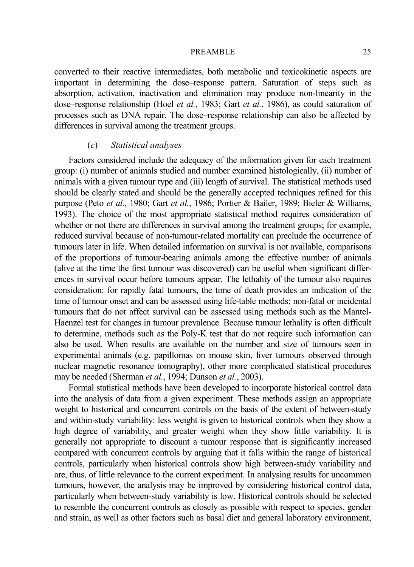converted to their reactive intermediates, both metabolic and toxicokinetic aspects are important in determining the dose–response pattern. Saturation of steps such as absorption, activation, inactivation and elimination may produce non-linearity in the dose–response relationship (Hoel *et al.*, 1983; Gart *et al.*, 1986), as could saturation of processes such as DNA repair. The dose–response relationship can also be affected by differences in survival among the treatment groups.

### (*c*) *Statistical analyses*

Factors considered include the adequacy of the information given for each treatment group: (i) number of animals studied and number examined histologically, (ii) number of animals with a given tumour type and (iii) length of survival. The statistical methods used should be clearly stated and should be the generally accepted techniques refined for this purpose (Peto *et al.*, 1980; Gart *et al.*, 1986; Portier & Bailer, 1989; Bieler & Williams, 1993). The choice of the most appropriate statistical method requires consideration of whether or not there are differences in survival among the treatment groups; for example, reduced survival because of non-tumour-related mortality can preclude the occurrence of tumours later in life. When detailed information on survival is not available, comparisons of the proportions of tumour-bearing animals among the effective number of animals (alive at the time the first tumour was discovered) can be useful when significant differences in survival occur before tumours appear. The lethality of the tumour also requires consideration: for rapidly fatal tumours, the time of death provides an indication of the time of tumour onset and can be assessed using life-table methods; non-fatal or incidental tumours that do not affect survival can be assessed using methods such as the Mantel-Haenzel test for changes in tumour prevalence. Because tumour lethality is often difficult to determine, methods such as the Poly-K test that do not require such information can also be used. When results are available on the number and size of tumours seen in experimental animals (e.g. papillomas on mouse skin, liver tumours observed through nuclear magnetic resonance tomography), other more complicated statistical procedures may be needed (Sherman *et al.*, 1994; Dunson *et al.*, 2003).

Formal statistical methods have been developed to incorporate historical control data into the analysis of data from a given experiment. These methods assign an appropriate weight to historical and concurrent controls on the basis of the extent of between-study and within-study variability: less weight is given to historical controls when they show a high degree of variability, and greater weight when they show little variability. It is generally not appropriate to discount a tumour response that is significantly increased compared with concurrent controls by arguing that it falls within the range of historical controls, particularly when historical controls show high between-study variability and are, thus, of little relevance to the current experiment. In analysing results for uncommon tumours, however, the analysis may be improved by considering historical control data, particularly when between-study variability is low. Historical controls should be selected to resemble the concurrent controls as closely as possible with respect to species, gender and strain, as well as other factors such as basal diet and general laboratory environment,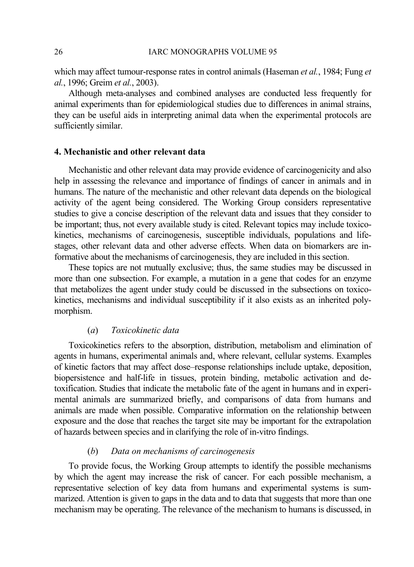which may affect tumour-response rates in control animals (Haseman *et al.*, 1984; Fung *et al.*, 1996; Greim *et al.*, 2003).

Although meta-analyses and combined analyses are conducted less frequently for animal experiments than for epidemiological studies due to differences in animal strains, they can be useful aids in interpreting animal data when the experimental protocols are sufficiently similar.

### **4. Mechanistic and other relevant data**

Mechanistic and other relevant data may provide evidence of carcinogenicity and also help in assessing the relevance and importance of findings of cancer in animals and in humans. The nature of the mechanistic and other relevant data depends on the biological activity of the agent being considered. The Working Group considers representative studies to give a concise description of the relevant data and issues that they consider to be important; thus, not every available study is cited. Relevant topics may include toxicokinetics, mechanisms of carcinogenesis, susceptible individuals, populations and lifestages, other relevant data and other adverse effects. When data on biomarkers are informative about the mechanisms of carcinogenesis, they are included in this section.

These topics are not mutually exclusive; thus, the same studies may be discussed in more than one subsection. For example, a mutation in a gene that codes for an enzyme that metabolizes the agent under study could be discussed in the subsections on toxicokinetics, mechanisms and individual susceptibility if it also exists as an inherited polymorphism.

#### (*a*) *Toxicokinetic data*

Toxicokinetics refers to the absorption, distribution, metabolism and elimination of agents in humans, experimental animals and, where relevant, cellular systems. Examples of kinetic factors that may affect dose–response relationships include uptake, deposition, biopersistence and half-life in tissues, protein binding, metabolic activation and detoxification. Studies that indicate the metabolic fate of the agent in humans and in experimental animals are summarized briefly, and comparisons of data from humans and animals are made when possible. Comparative information on the relationship between exposure and the dose that reaches the target site may be important for the extrapolation of hazards between species and in clarifying the role of in-vitro findings.

## (*b*) *Data on mechanisms of carcinogenesis*

To provide focus, the Working Group attempts to identify the possible mechanisms by which the agent may increase the risk of cancer. For each possible mechanism, a representative selection of key data from humans and experimental systems is summarized. Attention is given to gaps in the data and to data that suggests that more than one mechanism may be operating. The relevance of the mechanism to humans is discussed, in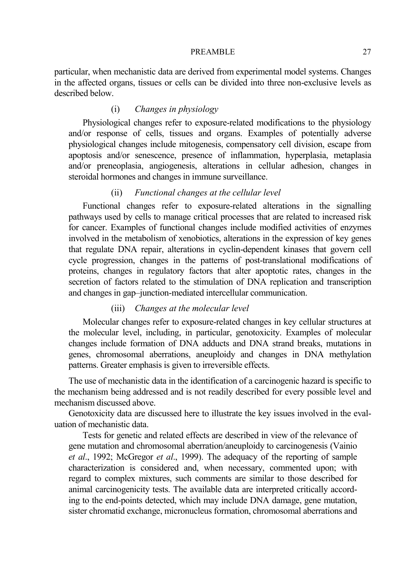particular, when mechanistic data are derived from experimental model systems. Changes in the affected organs, tissues or cells can be divided into three non-exclusive levels as described below.

## (i) *Changes in physiology*

Physiological changes refer to exposure-related modifications to the physiology and/or response of cells, tissues and organs. Examples of potentially adverse physiological changes include mitogenesis, compensatory cell division, escape from apoptosis and/or senescence, presence of inflammation, hyperplasia, metaplasia and/or preneoplasia, angiogenesis, alterations in cellular adhesion, changes in steroidal hormones and changes in immune surveillance.

## (ii) *Functional changes at the cellular level*

Functional changes refer to exposure-related alterations in the signalling pathways used by cells to manage critical processes that are related to increased risk for cancer. Examples of functional changes include modified activities of enzymes involved in the metabolism of xenobiotics, alterations in the expression of key genes that regulate DNA repair, alterations in cyclin-dependent kinases that govern cell cycle progression, changes in the patterns of post-translational modifications of proteins, changes in regulatory factors that alter apoptotic rates, changes in the secretion of factors related to the stimulation of DNA replication and transcription and changes in gap–junction-mediated intercellular communication.

#### (iii) *Changes at the molecular level*

Molecular changes refer to exposure-related changes in key cellular structures at the molecular level, including, in particular, genotoxicity. Examples of molecular changes include formation of DNA adducts and DNA strand breaks, mutations in genes, chromosomal aberrations, aneuploidy and changes in DNA methylation patterns. Greater emphasis is given to irreversible effects.

The use of mechanistic data in the identification of a carcinogenic hazard is specific to the mechanism being addressed and is not readily described for every possible level and mechanism discussed above.

Genotoxicity data are discussed here to illustrate the key issues involved in the evaluation of mechanistic data.

Tests for genetic and related effects are described in view of the relevance of gene mutation and chromosomal aberration/aneuploidy to carcinogenesis (Vainio *et al*., 1992; McGregor *et al*., 1999). The adequacy of the reporting of sample characterization is considered and, when necessary, commented upon; with regard to complex mixtures, such comments are similar to those described for animal carcinogenicity tests. The available data are interpreted critically according to the end-points detected, which may include DNA damage, gene mutation, sister chromatid exchange, micronucleus formation, chromosomal aberrations and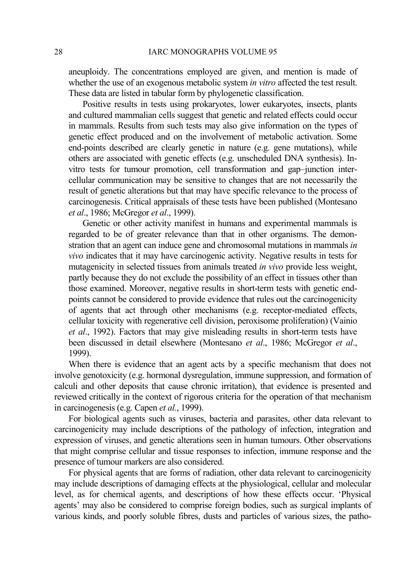aneuploidy. The concentrations employed are given, and mention is made of whether the use of an exogenous metabolic system *in vitro* affected the test result. These data are listed in tabular form by phylogenetic classification.

Positive results in tests using prokaryotes, lower eukaryotes, insects, plants and cultured mammalian cells suggest that genetic and related effects could occur in mammals. Results from such tests may also give information on the types of genetic effect produced and on the involvement of metabolic activation. Some end-points described are clearly genetic in nature (e.g. gene mutations), while others are associated with genetic effects (e.g. unscheduled DNA synthesis). Invitro tests for tumour promotion, cell transformation and gap–junction intercellular communication may be sensitive to changes that are not necessarily the result of genetic alterations but that may have specific relevance to the process of carcinogenesis. Critical appraisals of these tests have been published (Montesano *et al*., 1986; McGregor *et al*., 1999).

Genetic or other activity manifest in humans and experimental mammals is regarded to be of greater relevance than that in other organisms. The demonstration that an agent can induce gene and chromosomal mutations in mammals *in vivo* indicates that it may have carcinogenic activity. Negative results in tests for mutagenicity in selected tissues from animals treated *in vivo* provide less weight, partly because they do not exclude the possibility of an effect in tissues other than those examined. Moreover, negative results in short-term tests with genetic endpoints cannot be considered to provide evidence that rules out the carcinogenicity of agents that act through other mechanisms (e.g. receptor-mediated effects, cellular toxicity with regenerative cell division, peroxisome proliferation) (Vainio *et al*., 1992). Factors that may give misleading results in short-term tests have been discussed in detail elsewhere (Montesano *et al*., 1986; McGregor *et al*., 1999).

When there is evidence that an agent acts by a specific mechanism that does not involve genotoxicity (e.g. hormonal dysregulation, immune suppression, and formation of calculi and other deposits that cause chronic irritation), that evidence is presented and reviewed critically in the context of rigorous criteria for the operation of that mechanism in carcinogenesis (e.g. Capen *et al.*, 1999).

For biological agents such as viruses, bacteria and parasites, other data relevant to carcinogenicity may include descriptions of the pathology of infection, integration and expression of viruses, and genetic alterations seen in human tumours. Other observations that might comprise cellular and tissue responses to infection, immune response and the presence of tumour markers are also considered.

For physical agents that are forms of radiation, other data relevant to carcinogenicity may include descriptions of damaging effects at the physiological, cellular and molecular level, as for chemical agents, and descriptions of how these effects occur. 'Physical agents' may also be considered to comprise foreign bodies, such as surgical implants of various kinds, and poorly soluble fibres, dusts and particles of various sizes, the patho-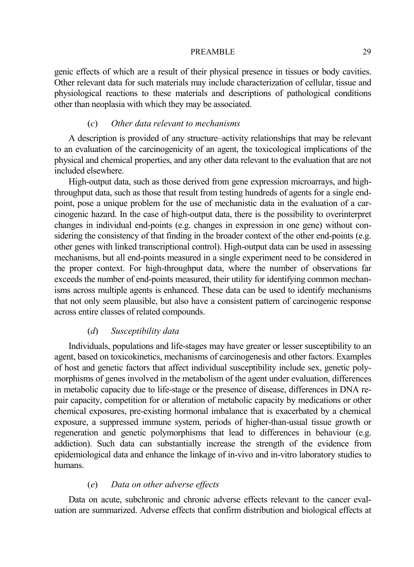genic effects of which are a result of their physical presence in tissues or body cavities. Other relevant data for such materials may include characterization of cellular, tissue and physiological reactions to these materials and descriptions of pathological conditions other than neoplasia with which they may be associated.

## (*c*) *Other data relevant to mechanisms*

A description is provided of any structure–activity relationships that may be relevant to an evaluation of the carcinogenicity of an agent, the toxicological implications of the physical and chemical properties, and any other data relevant to the evaluation that are not included elsewhere.

High-output data, such as those derived from gene expression microarrays, and highthroughput data, such as those that result from testing hundreds of agents for a single endpoint, pose a unique problem for the use of mechanistic data in the evaluation of a carcinogenic hazard. In the case of high-output data, there is the possibility to overinterpret changes in individual end-points (e.g. changes in expression in one gene) without considering the consistency of that finding in the broader context of the other end-points (e.g. other genes with linked transcriptional control). High-output data can be used in assessing mechanisms, but all end-points measured in a single experiment need to be considered in the proper context. For high-throughput data, where the number of observations far exceeds the number of end-points measured, their utility for identifying common mechanisms across multiple agents is enhanced. These data can be used to identify mechanisms that not only seem plausible, but also have a consistent pattern of carcinogenic response across entire classes of related compounds.

### (*d*) *Susceptibility data*

Individuals, populations and life-stages may have greater or lesser susceptibility to an agent, based on toxicokinetics, mechanisms of carcinogenesis and other factors. Examples of host and genetic factors that affect individual susceptibility include sex, genetic polymorphisms of genes involved in the metabolism of the agent under evaluation, differences in metabolic capacity due to life-stage or the presence of disease, differences in DNA repair capacity, competition for or alteration of metabolic capacity by medications or other chemical exposures, pre-existing hormonal imbalance that is exacerbated by a chemical exposure, a suppressed immune system, periods of higher-than-usual tissue growth or regeneration and genetic polymorphisms that lead to differences in behaviour (e.g. addiction). Such data can substantially increase the strength of the evidence from epidemiological data and enhance the linkage of in-vivo and in-vitro laboratory studies to humans.

## (*e*) *Data on other adverse effects*

Data on acute, subchronic and chronic adverse effects relevant to the cancer evaluation are summarized. Adverse effects that confirm distribution and biological effects at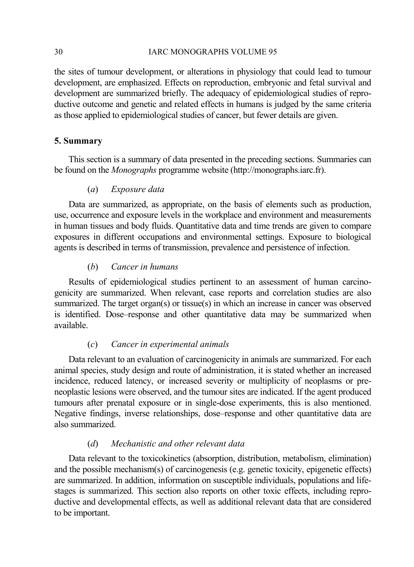the sites of tumour development, or alterations in physiology that could lead to tumour development, are emphasized. Effects on reproduction, embryonic and fetal survival and development are summarized briefly. The adequacy of epidemiological studies of reproductive outcome and genetic and related effects in humans is judged by the same criteria as those applied to epidemiological studies of cancer, but fewer details are given.

# **5. Summary**

This section is a summary of data presented in the preceding sections. Summaries can be found on the *Monographs* programme website (http://monographs.iarc.fr).

# (*a*) *Exposure data*

Data are summarized, as appropriate, on the basis of elements such as production, use, occurrence and exposure levels in the workplace and environment and measurements in human tissues and body fluids. Quantitative data and time trends are given to compare exposures in different occupations and environmental settings. Exposure to biological agents is described in terms of transmission, prevalence and persistence of infection.

# (*b*) *Cancer in humans*

Results of epidemiological studies pertinent to an assessment of human carcinogenicity are summarized. When relevant, case reports and correlation studies are also summarized. The target organ(s) or tissue(s) in which an increase in cancer was observed is identified. Dose–response and other quantitative data may be summarized when available.

# (*c*) *Cancer in experimental animals*

Data relevant to an evaluation of carcinogenicity in animals are summarized. For each animal species, study design and route of administration, it is stated whether an increased incidence, reduced latency, or increased severity or multiplicity of neoplasms or preneoplastic lesions were observed, and the tumour sites are indicated. If the agent produced tumours after prenatal exposure or in single-dose experiments, this is also mentioned. Negative findings, inverse relationships, dose–response and other quantitative data are also summarized.

# (*d*) *Mechanistic and other relevant data*

Data relevant to the toxicokinetics (absorption, distribution, metabolism, elimination) and the possible mechanism(s) of carcinogenesis (e.g. genetic toxicity, epigenetic effects) are summarized. In addition, information on susceptible individuals, populations and lifestages is summarized. This section also reports on other toxic effects, including reproductive and developmental effects, as well as additional relevant data that are considered to be important.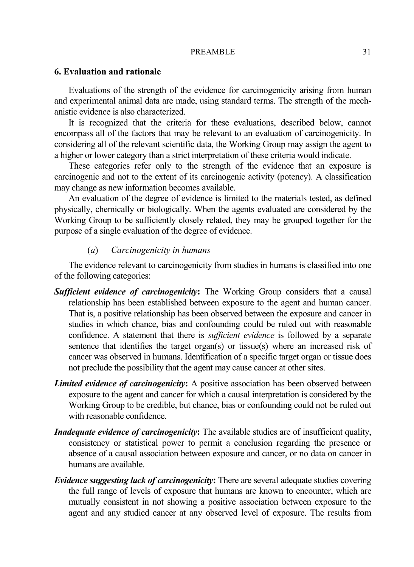#### **6. Evaluation and rationale**

Evaluations of the strength of the evidence for carcinogenicity arising from human and experimental animal data are made, using standard terms. The strength of the mechanistic evidence is also characterized.

It is recognized that the criteria for these evaluations, described below, cannot encompass all of the factors that may be relevant to an evaluation of carcinogenicity. In considering all of the relevant scientific data, the Working Group may assign the agent to a higher or lower category than a strict interpretation of these criteria would indicate.

These categories refer only to the strength of the evidence that an exposure is carcinogenic and not to the extent of its carcinogenic activity (potency). A classification may change as new information becomes available.

An evaluation of the degree of evidence is limited to the materials tested, as defined physically, chemically or biologically. When the agents evaluated are considered by the Working Group to be sufficiently closely related, they may be grouped together for the purpose of a single evaluation of the degree of evidence.

#### (*a*) *Carcinogenicity in humans*

The evidence relevant to carcinogenicity from studies in humans is classified into one of the following categories:

- *Sufficient evidence of carcinogenicity***:** The Working Group considers that a causal relationship has been established between exposure to the agent and human cancer. That is, a positive relationship has been observed between the exposure and cancer in studies in which chance, bias and confounding could be ruled out with reasonable confidence. A statement that there is *sufficient evidence* is followed by a separate sentence that identifies the target organ(s) or tissue(s) where an increased risk of cancer was observed in humans. Identification of a specific target organ or tissue does not preclude the possibility that the agent may cause cancer at other sites.
- *Limited evidence of carcinogenicity***:** A positive association has been observed between exposure to the agent and cancer for which a causal interpretation is considered by the Working Group to be credible, but chance, bias or confounding could not be ruled out with reasonable confidence.
- *Inadequate evidence of carcinogenicity*: The available studies are of insufficient quality, consistency or statistical power to permit a conclusion regarding the presence or absence of a causal association between exposure and cancer, or no data on cancer in humans are available.
- *Evidence suggesting lack of carcinogenicity***:** There are several adequate studies covering the full range of levels of exposure that humans are known to encounter, which are mutually consistent in not showing a positive association between exposure to the agent and any studied cancer at any observed level of exposure. The results from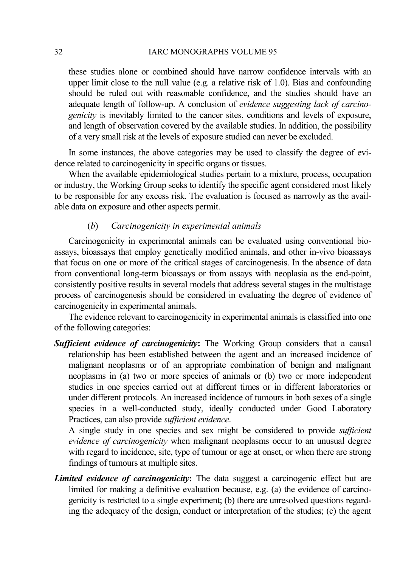these studies alone or combined should have narrow confidence intervals with an upper limit close to the null value (e.g. a relative risk of 1.0). Bias and confounding should be ruled out with reasonable confidence, and the studies should have an adequate length of follow-up. A conclusion of *evidence suggesting lack of carcinogenicity* is inevitably limited to the cancer sites, conditions and levels of exposure, and length of observation covered by the available studies. In addition, the possibility of a very small risk at the levels of exposure studied can never be excluded.

In some instances, the above categories may be used to classify the degree of evidence related to carcinogenicity in specific organs or tissues.

When the available epidemiological studies pertain to a mixture, process, occupation or industry, the Working Group seeks to identify the specific agent considered most likely to be responsible for any excess risk. The evaluation is focused as narrowly as the available data on exposure and other aspects permit.

## (*b*) *Carcinogenicity in experimental animals*

Carcinogenicity in experimental animals can be evaluated using conventional bioassays, bioassays that employ genetically modified animals, and other in-vivo bioassays that focus on one or more of the critical stages of carcinogenesis. In the absence of data from conventional long-term bioassays or from assays with neoplasia as the end-point, consistently positive results in several models that address several stages in the multistage process of carcinogenesis should be considered in evaluating the degree of evidence of carcinogenicity in experimental animals.

The evidence relevant to carcinogenicity in experimental animals is classified into one of the following categories:

*Sufficient evidence of carcinogenicity***:** The Working Group considers that a causal relationship has been established between the agent and an increased incidence of malignant neoplasms or of an appropriate combination of benign and malignant neoplasms in (a) two or more species of animals or (b) two or more independent studies in one species carried out at different times or in different laboratories or under different protocols. An increased incidence of tumours in both sexes of a single species in a well-conducted study, ideally conducted under Good Laboratory Practices, can also provide *sufficient evidence*.

A single study in one species and sex might be considered to provide *sufficient evidence of carcinogenicity* when malignant neoplasms occur to an unusual degree with regard to incidence, site, type of tumour or age at onset, or when there are strong findings of tumours at multiple sites.

*Limited evidence of carcinogenicity***:** The data suggest a carcinogenic effect but are limited for making a definitive evaluation because, e.g. (a) the evidence of carcinogenicity is restricted to a single experiment; (b) there are unresolved questions regarding the adequacy of the design, conduct or interpretation of the studies; (c) the agent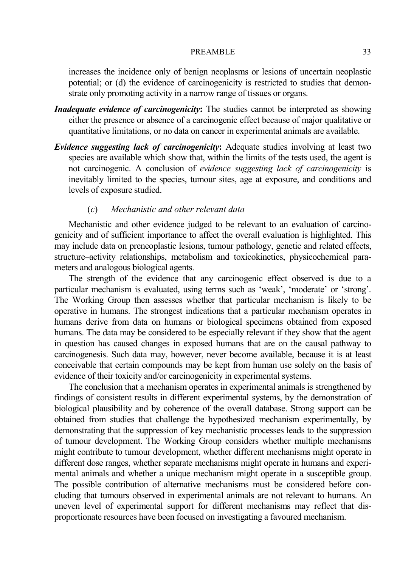increases the incidence only of benign neoplasms or lesions of uncertain neoplastic potential; or (d) the evidence of carcinogenicity is restricted to studies that demonstrate only promoting activity in a narrow range of tissues or organs.

- *Inadequate evidence of carcinogenicity***:** The studies cannot be interpreted as showing either the presence or absence of a carcinogenic effect because of major qualitative or quantitative limitations, or no data on cancer in experimental animals are available.
- *Evidence suggesting lack of carcinogenicity***:** Adequate studies involving at least two species are available which show that, within the limits of the tests used, the agent is not carcinogenic. A conclusion of *evidence suggesting lack of carcinogenicity* is inevitably limited to the species, tumour sites, age at exposure, and conditions and levels of exposure studied.

#### (*c*) *Mechanistic and other relevant data*

Mechanistic and other evidence judged to be relevant to an evaluation of carcinogenicity and of sufficient importance to affect the overall evaluation is highlighted. This may include data on preneoplastic lesions, tumour pathology, genetic and related effects, structure–activity relationships, metabolism and toxicokinetics, physicochemical parameters and analogous biological agents.

The strength of the evidence that any carcinogenic effect observed is due to a particular mechanism is evaluated, using terms such as 'weak', 'moderate' or 'strong'. The Working Group then assesses whether that particular mechanism is likely to be operative in humans. The strongest indications that a particular mechanism operates in humans derive from data on humans or biological specimens obtained from exposed humans. The data may be considered to be especially relevant if they show that the agent in question has caused changes in exposed humans that are on the causal pathway to carcinogenesis. Such data may, however, never become available, because it is at least conceivable that certain compounds may be kept from human use solely on the basis of evidence of their toxicity and/or carcinogenicity in experimental systems.

The conclusion that a mechanism operates in experimental animals is strengthened by findings of consistent results in different experimental systems, by the demonstration of biological plausibility and by coherence of the overall database. Strong support can be obtained from studies that challenge the hypothesized mechanism experimentally, by demonstrating that the suppression of key mechanistic processes leads to the suppression of tumour development. The Working Group considers whether multiple mechanisms might contribute to tumour development, whether different mechanisms might operate in different dose ranges, whether separate mechanisms might operate in humans and experimental animals and whether a unique mechanism might operate in a susceptible group. The possible contribution of alternative mechanisms must be considered before concluding that tumours observed in experimental animals are not relevant to humans. An uneven level of experimental support for different mechanisms may reflect that disproportionate resources have been focused on investigating a favoured mechanism.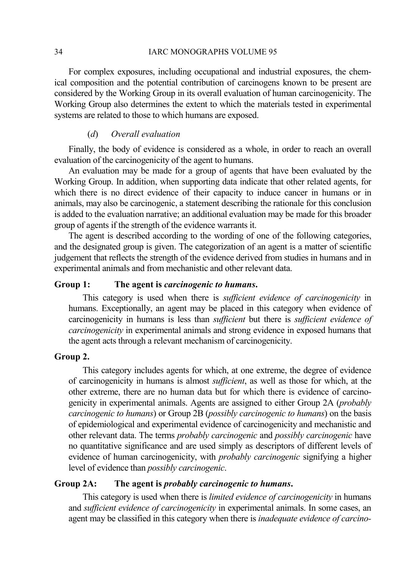For complex exposures, including occupational and industrial exposures, the chemical composition and the potential contribution of carcinogens known to be present are considered by the Working Group in its overall evaluation of human carcinogenicity. The Working Group also determines the extent to which the materials tested in experimental systems are related to those to which humans are exposed.

# (*d*) *Overall evaluation*

Finally, the body of evidence is considered as a whole, in order to reach an overall evaluation of the carcinogenicity of the agent to humans.

An evaluation may be made for a group of agents that have been evaluated by the Working Group. In addition, when supporting data indicate that other related agents, for which there is no direct evidence of their capacity to induce cancer in humans or in animals, may also be carcinogenic, a statement describing the rationale for this conclusion is added to the evaluation narrative; an additional evaluation may be made for this broader group of agents if the strength of the evidence warrants it.

The agent is described according to the wording of one of the following categories, and the designated group is given. The categorization of an agent is a matter of scientific judgement that reflects the strength of the evidence derived from studies in humans and in experimental animals and from mechanistic and other relevant data.

## **Group 1: The agent is** *carcinogenic to humans***.**

This category is used when there is *sufficient evidence of carcinogenicity* in humans. Exceptionally, an agent may be placed in this category when evidence of carcinogenicity in humans is less than *sufficient* but there is *sufficient evidence of carcinogenicity* in experimental animals and strong evidence in exposed humans that the agent acts through a relevant mechanism of carcinogenicity.

### **Group 2.**

This category includes agents for which, at one extreme, the degree of evidence of carcinogenicity in humans is almost *sufficient*, as well as those for which, at the other extreme, there are no human data but for which there is evidence of carcinogenicity in experimental animals. Agents are assigned to either Group 2A (*probably carcinogenic to humans*) or Group 2B (*possibly carcinogenic to humans*) on the basis of epidemiological and experimental evidence of carcinogenicity and mechanistic and other relevant data. The terms *probably carcinogenic* and *possibly carcinogenic* have no quantitative significance and are used simply as descriptors of different levels of evidence of human carcinogenicity, with *probably carcinogenic* signifying a higher level of evidence than *possibly carcinogenic*.

### **Group 2A: The agent is** *probably carcinogenic to humans***.**

This category is used when there is *limited evidence of carcinogenicity* in humans and *sufficient evidence of carcinogenicity* in experimental animals. In some cases, an agent may be classified in this category when there is *inadequate evidence of carcino-*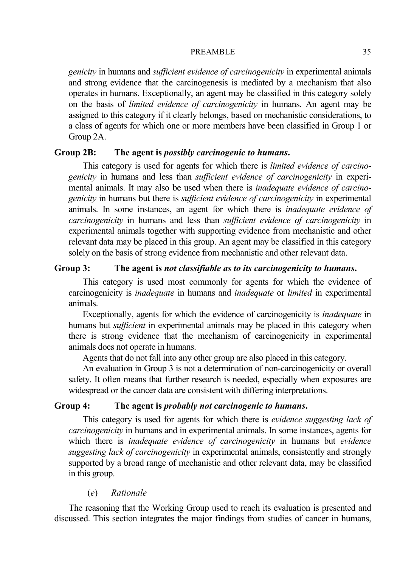*genicity* in humans and *sufficient evidence of carcinogenicity* in experimental animals and strong evidence that the carcinogenesis is mediated by a mechanism that also operates in humans. Exceptionally, an agent may be classified in this category solely on the basis of *limited evidence of carcinogenicity* in humans. An agent may be assigned to this category if it clearly belongs, based on mechanistic considerations, to a class of agents for which one or more members have been classified in Group 1 or Group 2A.

## **Group 2B: The agent is** *possibly carcinogenic to humans***.**

This category is used for agents for which there is *limited evidence of carcinogenicity* in humans and less than *sufficient evidence of carcinogenicity* in experimental animals. It may also be used when there is *inadequate evidence of carcinogenicity* in humans but there is *sufficient evidence of carcinogenicity* in experimental animals. In some instances, an agent for which there is *inadequate evidence of carcinogenicity* in humans and less than *sufficient evidence of carcinogenicity* in experimental animals together with supporting evidence from mechanistic and other relevant data may be placed in this group. An agent may be classified in this category solely on the basis of strong evidence from mechanistic and other relevant data.

## **Group 3: The agent is** *not classifiable as to its carcinogenicity to humans***.**

This category is used most commonly for agents for which the evidence of carcinogenicity is *inadequate* in humans and *inadequate* or *limited* in experimental animals.

Exceptionally, agents for which the evidence of carcinogenicity is *inadequate* in humans but *sufficient* in experimental animals may be placed in this category when there is strong evidence that the mechanism of carcinogenicity in experimental animals does not operate in humans.

Agents that do not fall into any other group are also placed in this category.

An evaluation in Group 3 is not a determination of non-carcinogenicity or overall safety. It often means that further research is needed, especially when exposures are widespread or the cancer data are consistent with differing interpretations.

# **Group 4: The agent is** *probably not carcinogenic to humans***.**

This category is used for agents for which there is *evidence suggesting lack of carcinogenicity* in humans and in experimental animals. In some instances, agents for which there is *inadequate evidence of carcinogenicity* in humans but *evidence suggesting lack of carcinogenicity* in experimental animals, consistently and strongly supported by a broad range of mechanistic and other relevant data, may be classified in this group.

## (*e*) *Rationale*

The reasoning that the Working Group used to reach its evaluation is presented and discussed. This section integrates the major findings from studies of cancer in humans,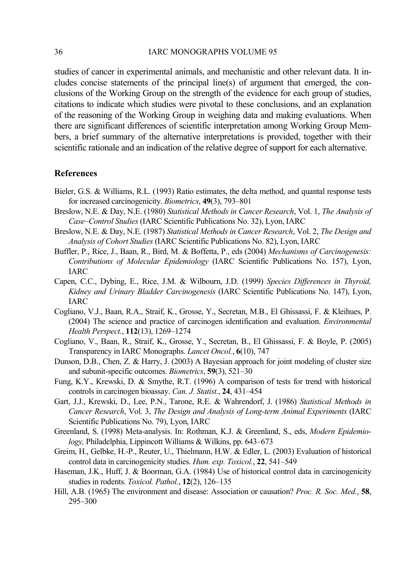studies of cancer in experimental animals, and mechanistic and other relevant data. It includes concise statements of the principal line(s) of argument that emerged, the conclusions of the Working Group on the strength of the evidence for each group of studies, citations to indicate which studies were pivotal to these conclusions, and an explanation of the reasoning of the Working Group in weighing data and making evaluations. When there are significant differences of scientific interpretation among Working Group Members, a brief summary of the alternative interpretations is provided, together with their scientific rationale and an indication of the relative degree of support for each alternative.

### **References**

- Bieler, G.S. & Williams, R.L. (1993) Ratio estimates, the delta method, and quantal response tests for increased carcinogenicity. *Biometrics*, **49**(3), 793–801
- Breslow, N.E. & Day, N.E. (1980) *Statistical Methods in Cancer Research*, Vol. 1, *The Analysis of Case–Control Studies* (IARC Scientific Publications No. 32), Lyon, IARC
- Breslow, N.E. & Day, N.E. (1987) *Statistical Methods in Cancer Research*, Vol. 2, *The Design and Analysis of Cohort Studies* (IARC Scientific Publications No. 82), Lyon, IARC
- Buffler, P., Rice, J., Baan, R., Bird, M. & Boffetta, P., eds (2004) *Mechanisms of Carcinogenesis: Contributions of Molecular Epidemiology* (IARC Scientific Publications No. 157), Lyon, IARC
- Capen, C.C., Dybing, E., Rice, J.M. & Wilbourn, J.D. (1999) *Species Differences in Thyroid, Kidney and Urinary Bladder Carcinogenesis* (IARC Scientific Publications No. 147), Lyon, IARC
- Cogliano, V.J., Baan, R.A., Straif, K., Grosse, Y., Secretan, M.B., El Ghissassi, F. & Kleihues, P. (2004) The science and practice of carcinogen identification and evaluation. *Environmental Health Perspect.*, **112**(13), 1269–1274
- Cogliano, V., Baan, R., Straif, K., Grosse, Y., Secretan, B., El Ghissassi, F. & Boyle, P. (2005) Transparency in IARC Monographs. *Lancet Oncol.*, **6**(10), 747
- Dunson, D.B., Chen, Z. & Harry, J. (2003) A Bayesian approach for joint modeling of cluster size and subunit-specific outcomes. *Biometrics*, **59**(3), 521–30
- Fung, K.Y., Krewski, D. & Smythe, R.T. (1996) A comparison of tests for trend with historical controls in carcinogen bioassay. *Can. J. Statist.*, **24**, 431–454
- Gart, J.J., Krewski, D., Lee, P.N., Tarone, R.E. & Wahrendorf, J. (1986) *Statistical Methods in Cancer Research*, Vol. 3, *The Design and Analysis of Long-term Animal Experiments* (IARC Scientific Publications No. 79), Lyon, IARC
- Greenland, S. (1998) Meta-analysis. In: Rothman, K.J. & Greenland, S., eds, *Modern Epidemiology,* Philadelphia, Lippincott Williams & Wilkins, pp. 643–673
- Greim, H., Gelbke, H.-P., Reuter, U., Thielmann, H.W. & Edler, L. (2003) Evaluation of historical control data in carcinogenicity studies. *Hum. exp. Toxicol.*, **22**, 541–549
- Haseman, J.K., Huff, J. & Boorman, G.A. (1984) Use of historical control data in carcinogenicity studies in rodents. *Toxicol. Pathol.*, **12**(2), 126–135
- Hill, A.B. (1965) The environment and disease: Association or causation? *Proc. R. Soc. Med.*, **58**, 295–300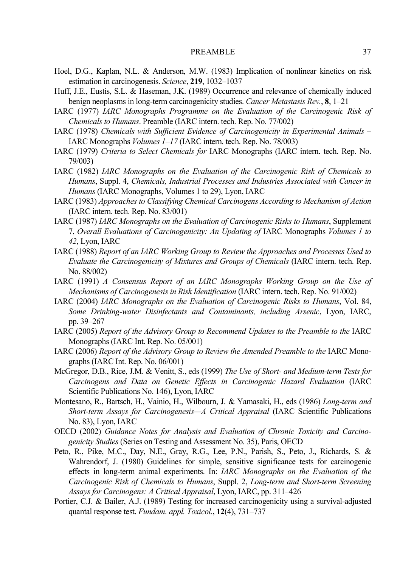- Hoel, D.G., Kaplan, N.L. & Anderson, M.W. (1983) Implication of nonlinear kinetics on risk estimation in carcinogenesis. *Science*, **219**, 1032–1037
- Huff, J.E., Eustis, S.L. & Haseman, J.K. (1989) Occurrence and relevance of chemically induced benign neoplasms in long-term carcinogenicity studies. *Cancer Metastasis Rev.*, **8**, 1–21
- IARC (1977) *IARC Monographs Programme on the Evaluation of the Carcinogenic Risk of Chemicals to Humans*. Preamble (IARC intern. tech. Rep. No. 77/002)
- IARC (1978) *Chemicals with Sufficient Evidence of Carcinogenicity in Experimental Animals*  IARC Monographs *Volumes 1–17* (IARC intern. tech. Rep. No. 78/003)
- IARC (1979) *Criteria to Select Chemicals for* IARC Monographs (IARC intern. tech. Rep. No. 79/003)
- IARC (1982) *IARC Monographs on the Evaluation of the Carcinogenic Risk of Chemicals to Humans*, Suppl. 4, *Chemicals, Industrial Processes and Industries Associated with Cancer in Humans* (IARC Monographs, Volumes 1 to 29), Lyon, IARC
- IARC (1983) *Approaches to Classifying Chemical Carcinogens According to Mechanism of Action* (IARC intern. tech. Rep. No. 83/001)
- IARC (1987) *IARC Monographs on the Evaluation of Carcinogenic Risks to Humans*, Supplement 7, *Overall Evaluations of Carcinogenicity: An Updating of* IARC Monographs *Volumes 1 to 42*, Lyon, IARC
- IARC (1988) *Report of an IARC Working Group to Review the Approaches and Processes Used to Evaluate the Carcinogenicity of Mixtures and Groups of Chemicals* (IARC intern. tech. Rep. No. 88/002)
- IARC (1991) *A Consensus Report of an IARC Monographs Working Group on the Use of Mechanisms of Carcinogenesis in Risk Identification* (IARC intern. tech. Rep. No. 91/002)
- IARC (2004) *IARC Monographs on the Evaluation of Carcinogenic Risks to Humans*, Vol. 84, *Some Drinking-water Disinfectants and Contaminants, including Arsenic*, Lyon, IARC, pp. 39–267
- IARC (2005) *Report of the Advisory Group to Recommend Updates to the Preamble to the IARC* Monographs (IARC Int. Rep. No. 05/001)
- IARC (2006) *Report of the Advisory Group to Review the Amended Preamble to the IARC Mono*graphs (IARC Int. Rep. No. 06/001)
- McGregor, D.B., Rice, J.M. & Venitt, S., eds (1999) *The Use of Short- and Medium-term Tests for Carcinogens and Data on Genetic Effects in Carcinogenic Hazard Evaluation* (IARC Scientific Publications No. 146), Lyon, IARC
- Montesano, R., Bartsch, H., Vainio, H., Wilbourn, J. & Yamasaki, H., eds (1986) *Long-term and Short-term Assays for Carcinogenesis—A Critical Appraisal* (IARC Scientific Publications No. 83), Lyon, IARC
- OECD (2002) *Guidance Notes for Analysis and Evaluation of Chronic Toxicity and Carcinogenicity Studies* (Series on Testing and Assessment No. 35), Paris, OECD
- Peto, R., Pike, M.C., Day, N.E., Gray, R.G., Lee, P.N., Parish, S., Peto, J., Richards, S. & Wahrendorf, J. (1980) Guidelines for simple, sensitive significance tests for carcinogenic effects in long-term animal experiments. In: *IARC Monographs on the Evaluation of the Carcinogenic Risk of Chemicals to Humans*, Suppl. 2, *Long-term and Short-term Screening Assays for Carcinogens: A Critical Appraisal*, Lyon, IARC, pp. 311–426
- Portier, C.J. & Bailer, A.J. (1989) Testing for increased carcinogenicity using a survival-adjusted quantal response test. *Fundam. appl. Toxicol.*, **12**(4), 731–737